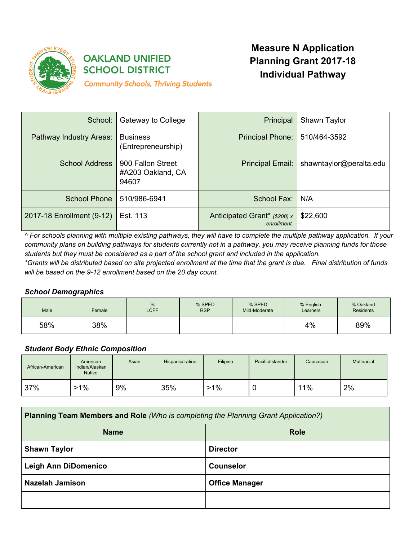

# **OAKLAND UNIFIED SCHOOL DISTRICT**

**Measure N Application Planning Grant 2017-18 Individual Pathway**

**Community Schools, Thriving Students** 

| School:                   | Gateway to College                              | Principal                                   | Shawn Taylor            |
|---------------------------|-------------------------------------------------|---------------------------------------------|-------------------------|
| Pathway Industry Areas:   | <b>Business</b><br>(Entrepreneurship)           | Principal Phone:                            | 510/464-3592            |
| <b>School Address</b>     | 900 Fallon Street<br>#A203 Oakland, CA<br>94607 | Principal Email:                            | shawntaylor@peralta.edu |
| School Phone              | 510/986-6941                                    | School Fax:                                 | N/A                     |
| 2017-18 Enrollment (9-12) | Est. 113                                        | Anticipated Grant* (\$200) x<br>enrollment. | \$22,600                |

^ For schools planning with multiple existing pathways, they will have to complete the multiple pathway application. If your community plans on building pathways for students currently not in a pathway, you may receive planning funds for those students but they must be considered as a part of the school grant and included in the application.

\*Grants will be distributed based on site projected enrollment at the time that the grant is due. Final distribution of funds *will be based on the 9-12 enrollment based on the 20 day count.*

# *School Demographics*

| Male | Female | %<br><b>LCFF</b> | % SPED<br><b>RSP</b> | % SPED<br>Mild-Moderate | % English<br>Learners | % Oakland<br><b>Residents</b> |
|------|--------|------------------|----------------------|-------------------------|-----------------------|-------------------------------|
| 58%  | 38%    |                  |                      |                         | 4%                    | 89%                           |

# *Student Body Ethnic Composition*

| African-American | American<br>Indian/Alaskan<br><b>Native</b> | Asian | Hispanic/Latino | Filipino | Pacific/Islander | Caucasian | Multiracial |
|------------------|---------------------------------------------|-------|-----------------|----------|------------------|-----------|-------------|
| 37%              | $-1\%$                                      | 9%    | 35%             | $>1\%$   |                  | 11%       | 2%          |

| <b>Planning Team Members and Role (Who is completing the Planning Grant Application?)</b> |                       |  |
|-------------------------------------------------------------------------------------------|-----------------------|--|
| <b>Name</b>                                                                               | <b>Role</b>           |  |
| <b>Shawn Taylor</b>                                                                       | <b>Director</b>       |  |
| <b>Leigh Ann DiDomenico</b>                                                               | <b>Counselor</b>      |  |
| <b>Nazelah Jamison</b>                                                                    | <b>Office Manager</b> |  |
|                                                                                           |                       |  |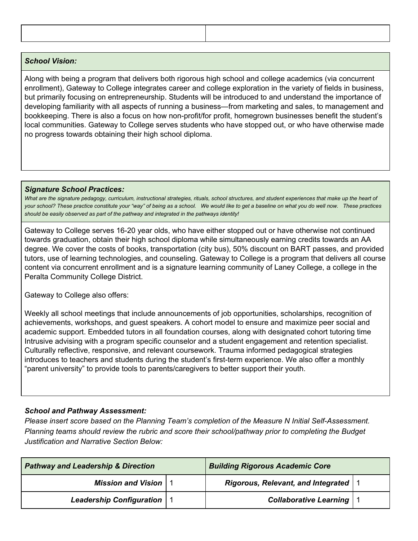### *School Vision:*

Along with being a program that delivers both rigorous high school and college academics (via concurrent enrollment), Gateway to College integrates career and college exploration in the variety of fields in business, but primarily focusing on entrepreneurship. Students will be introduced to and understand the importance of developing familiarity with all aspects of running a business—from marketing and sales, to management and bookkeeping. There is also a focus on how non-profit/for profit, homegrown businesses benefit the student's local communities. Gateway to College serves students who have stopped out, or who have otherwise made no progress towards obtaining their high school diploma.

#### *Signature School Practices:*

What are the signature pedagogy, curriculum, instructional strategies, rituals, school structures, and student experiences that make up the heart of your school? These practice constitute your "way" of being as a school. We would like to get a baseline on what you do well now. These practices *should be easily observed as part of the pathway and integrated in the pathways identity!*

Gateway to College serves 16-20 year olds, who have either stopped out or have otherwise not continued towards graduation, obtain their high school diploma while simultaneously earning credits towards an AA degree. We cover the costs of books, transportation (city bus), 50% discount on BART passes, and provided tutors, use of learning technologies, and counseling. Gateway to College is a program that delivers all course content via concurrent enrollment and is a signature learning community of Laney College, a college in the Peralta Community College District.

Gateway to College also offers:

Weekly all school meetings that include announcements of job opportunities, scholarships, recognition of achievements, workshops, and guest speakers. A cohort model to ensure and maximize peer social and academic support. Embedded tutors in all foundation courses, along with designated cohort tutoring time Intrusive advising with a program specific counselor and a student engagement and retention specialist. Culturally reflective, responsive, and relevant coursework. Trauma informed pedagogical strategies introduces to teachers and students during the student's first-term experience. We also offer a monthly "parent university" to provide tools to parents/caregivers to better support their youth.

# *School and Pathway Assessment:*

*Please insert score based on the Planning Team's completion of the Measure N Initial Self-Assessment. Planning teams should review the rubric and score their school/pathway prior to completing the Budget Justification and Narrative Section Below:*

| <b>Pathway and Leadership &amp; Direction</b> |  | <b>Building Rigorous Academic Core</b> |  |
|-----------------------------------------------|--|----------------------------------------|--|
| <b>Mission and Vision   1</b>                 |  | Rigorous, Relevant, and Integrated   1 |  |
| Leadership Configuration   1                  |  | <b>Collaborative Learning   1</b>      |  |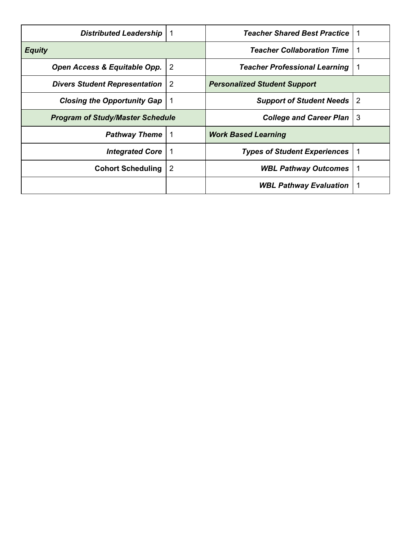| <b>Distributed Leadership</b>           |                | <b>Teacher Shared Best Practice</b>  |    |
|-----------------------------------------|----------------|--------------------------------------|----|
| <b>Equity</b>                           |                | <b>Teacher Collaboration Time</b>    |    |
| Open Access & Equitable Opp.            | $\overline{2}$ | <b>Teacher Professional Learning</b> |    |
| <b>Divers Student Representation</b>    | 2              | <b>Personalized Student Support</b>  |    |
| <b>Closing the Opportunity Gap</b>      | -1             | <b>Support of Student Needs</b>      | -2 |
| <b>Program of Study/Master Schedule</b> |                | <b>College and Career Plan</b>       | -3 |
| <b>Pathway Theme</b>                    |                | <b>Work Based Learning</b>           |    |
| <b>Integrated Core</b>                  | -1             | <b>Types of Student Experiences</b>  |    |
| <b>Cohort Scheduling</b>                | $\overline{2}$ | <b>WBL Pathway Outcomes</b>          | 1  |
|                                         |                | <b>WBL Pathway Evaluation</b>        |    |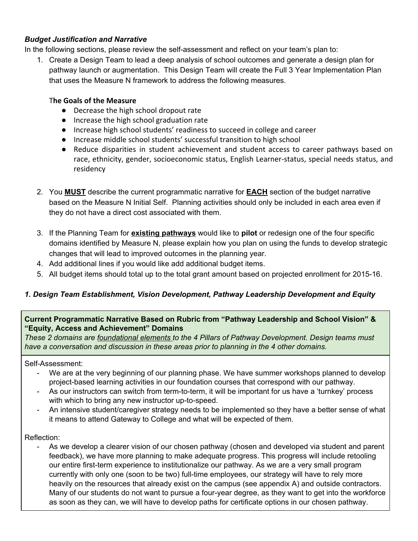# *Budget Justification and Narrative*

In the following sections, please review the self-assessment and reflect on your team's plan to:

1. Create a Design Team to lead a deep analysis of school outcomes and generate a design plan for pathway launch or augmentation. This Design Team will create the Full 3 Year Implementation Plan that uses the Measure N framework to address the following measures.

## T**he Goals of the Measure**

- Decrease the high school dropout rate
- Increase the high school graduation rate
- Increase high school students' readiness to succeed in college and career
- Increase middle school students' successful transition to high school
- Reduce disparities in student achievement and student access to career pathways based on race, ethnicity, gender, socioeconomic status, English Learner-status, special needs status, and residency
- 2. You **MUST** describe the current programmatic narrative for **EACH** section of the budget narrative based on the Measure N Initial Self. Planning activities should only be included in each area even if they do not have a direct cost associated with them.
- 3. If the Planning Team for **existing pathways** would like to **pilot** or redesign one of the four specific domains identified by Measure N, please explain how you plan on using the funds to develop strategic changes that will lead to improved outcomes in the planning year.
- 4. Add additional lines if you would like add additional budget items.
- 5. All budget items should total up to the total grant amount based on projected enrollment for 2015-16.

# *1. Design Team Establishment, Vision Development, Pathway Leadership Development and Equity*

## **Current Programmatic Narrative Based on Rubric from "Pathway Leadership and School Vision" & "Equity, Access and Achievement" Domains**

*These 2 domains are foundational elements to the 4 Pillars of Pathway Development. Design teams must have a conversation and discussion in these areas prior to planning in the 4 other domains.*

Self-Assessment:

- We are at the very beginning of our planning phase. We have summer workshops planned to develop project-based learning activities in our foundation courses that correspond with our pathway.
- As our instructors can switch from term-to-term, it will be important for us have a 'turnkey' process with which to bring any new instructor up-to-speed.
- An intensive student/caregiver strategy needs to be implemented so they have a better sense of what it means to attend Gateway to College and what will be expected of them.

### Reflection:

As we develop a clearer vision of our chosen pathway (chosen and developed via student and parent feedback), we have more planning to make adequate progress. This progress will include retooling our entire first-term experience to institutionalize our pathway. As we are a very small program currently with only one (soon to be two) full-time employees, our strategy will have to rely more heavily on the resources that already exist on the campus (see appendix A) and outside contractors. Many of our students do not want to pursue a four-year degree, as they want to get into the workforce as soon as they can, we will have to develop paths for certificate options in our chosen pathway.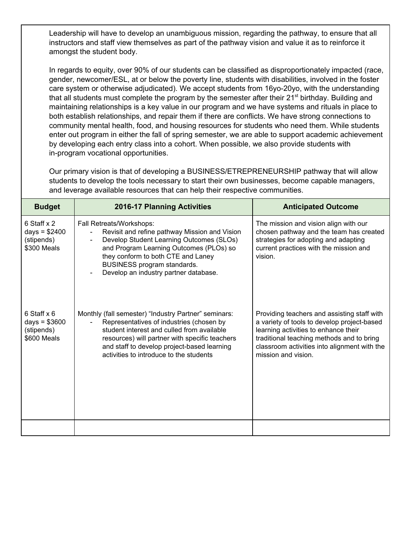Leadership will have to develop an unambiguous mission, regarding the pathway, to ensure that all instructors and staff view themselves as part of the pathway vision and value it as to reinforce it amongst the student body.

In regards to equity, over 90% of our students can be classified as disproportionately impacted (race, gender, newcomer/ESL, at or below the poverty line, students with disabilities, involved in the foster care system or otherwise adjudicated). We accept students from 16yo-20yo, with the understanding that all students must complete the program by the semester after their 21<sup>st</sup> birthday. Building and maintaining relationships is a key value in our program and we have systems and rituals in place to both establish relationships, and repair them if there are conflicts. We have strong connections to community mental health, food, and housing resources for students who need them. While students enter out program in either the fall of spring semester, we are able to support academic achievement by developing each entry class into a cohort. When possible, we also provide students with in-program vocational opportunities.

Our primary vision is that of developing a BUSINESS/ETREPRENEURSHIP pathway that will allow students to develop the tools necessary to start their own businesses, become capable managers, and leverage available resources that can help their respective communities.

| <b>Budget</b>                                              | <b>2016-17 Planning Activities</b>                                                                                                                                                                                                                                                         | <b>Anticipated Outcome</b>                                                                                                                                                                                                                             |
|------------------------------------------------------------|--------------------------------------------------------------------------------------------------------------------------------------------------------------------------------------------------------------------------------------------------------------------------------------------|--------------------------------------------------------------------------------------------------------------------------------------------------------------------------------------------------------------------------------------------------------|
| 6 Staff x 2<br>days = $$2400$<br>(stipends)<br>\$300 Meals | Fall Retreats/Workshops:<br>Revisit and refine pathway Mission and Vision<br>Develop Student Learning Outcomes (SLOs)<br>and Program Learning Outcomes (PLOs) so<br>they conform to both CTE and Laney<br>BUSINESS program standards.<br>Develop an industry partner database.             | The mission and vision align with our<br>chosen pathway and the team has created<br>strategies for adopting and adapting<br>current practices with the mission and<br>vision.                                                                          |
| 6 Staff x 6<br>$days = $3600$<br>(stipends)<br>\$600 Meals | Monthly (fall semester) "Industry Partner" seminars:<br>Representatives of industries (chosen by<br>student interest and culled from available<br>resources) will partner with specific teachers<br>and staff to develop project-based learning<br>activities to introduce to the students | Providing teachers and assisting staff with<br>a variety of tools to develop project-based<br>learning activities to enhance their<br>traditional teaching methods and to bring<br>classroom activities into alignment with the<br>mission and vision. |
|                                                            |                                                                                                                                                                                                                                                                                            |                                                                                                                                                                                                                                                        |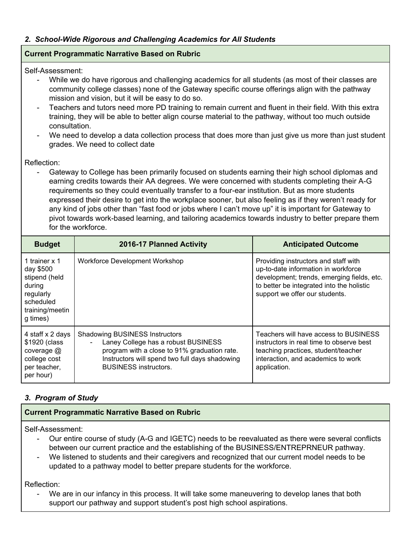# *2. School-Wide Rigorous and Challenging Academics for All Students*

### **Current Programmatic Narrative Based on Rubric**

Self-Assessment:

- While we do have rigorous and challenging academics for all students (as most of their classes are community college classes) none of the Gateway specific course offerings align with the pathway mission and vision, but it will be easy to do so.
- Teachers and tutors need more PD training to remain current and fluent in their field. With this extra training, they will be able to better align course material to the pathway, without too much outside consultation.
- We need to develop a data collection process that does more than just give us more than just student grades. We need to collect date

Reflection:

Gateway to College has been primarily focused on students earning their high school diplomas and earning credits towards their AA degrees. We were concerned with students completing their A-G requirements so they could eventually transfer to a four-ear institution. But as more students expressed their desire to get into the workplace sooner, but also feeling as if they weren't ready for any kind of jobs other than "fast food or jobs where I can't move up" it is important for Gateway to pivot towards work-based learning, and tailoring academics towards industry to better prepare them for the workforce.

| <b>Budget</b>                                                                                                  | <b>2016-17 Planned Activity</b>                                                                                                                                                                                | <b>Anticipated Outcome</b>                                                                                                                                                                               |
|----------------------------------------------------------------------------------------------------------------|----------------------------------------------------------------------------------------------------------------------------------------------------------------------------------------------------------------|----------------------------------------------------------------------------------------------------------------------------------------------------------------------------------------------------------|
| 1 trainer x 1<br>day \$500<br>stipend (held<br>during<br>regularly<br>scheduled<br>training/meetin<br>g times) | Workforce Development Workshop                                                                                                                                                                                 | Providing instructors and staff with<br>up-to-date information in workforce<br>development; trends, emerging fields, etc.<br>to better be integrated into the holistic<br>support we offer our students. |
| 4 staff x 2 days<br>\$1920 (class<br>coverage $@$<br>college cost<br>per teacher,<br>per hour)                 | <b>Shadowing BUSINESS Instructors</b><br>Laney College has a robust BUSINESS<br>program with a close to 91% graduation rate.<br>Instructors will spend two full days shadowing<br><b>BUSINESS instructors.</b> | Teachers will have access to BUSINESS<br>instructors in real time to observe best<br>teaching practices, student/teacher<br>interaction, and academics to work<br>application.                           |

# *3. Program of Study*

### **Current Programmatic Narrative Based on Rubric**

Self-Assessment:

- Our entire course of study (A-G and IGETC) needs to be reevaluated as there were several conflicts between our current practice and the establishing of the BUSINESS/ENTREPRNEUR pathway.
- We listened to students and their caregivers and recognized that our current model needs to be updated to a pathway model to better prepare students for the workforce.

Reflection:

We are in our infancy in this process. It will take some maneuvering to develop lanes that both support our pathway and support student's post high school aspirations.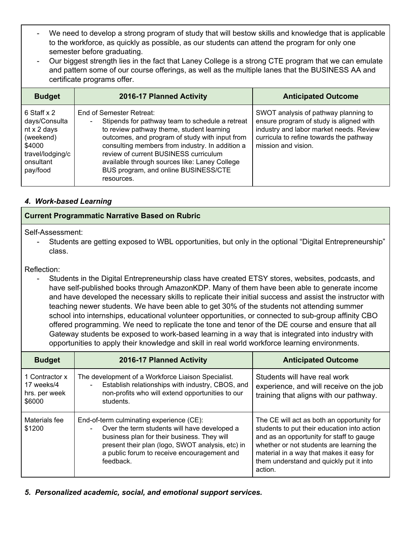- We need to develop a strong program of study that will bestow skills and knowledge that is applicable to the workforce, as quickly as possible, as our students can attend the program for only one semester before graduating.
- Our biggest strength lies in the fact that Laney College is a strong CTE program that we can emulate and pattern some of our course offerings, as well as the multiple lanes that the BUSINESS AA and certificate programs offer.

| <b>Budget</b>                                                                                                          | 2016-17 Planned Activity                                                                                                                                                                                                                                                                                                                                                      | <b>Anticipated Outcome</b>                                                                                                                                                                   |
|------------------------------------------------------------------------------------------------------------------------|-------------------------------------------------------------------------------------------------------------------------------------------------------------------------------------------------------------------------------------------------------------------------------------------------------------------------------------------------------------------------------|----------------------------------------------------------------------------------------------------------------------------------------------------------------------------------------------|
| 6 Staff x 2<br>days/Consulta<br>$nt \times 2$ days<br>(weekend)<br>\$4000<br>travel/lodging/c<br>onsultant<br>pay/food | End of Semester Retreat:<br>Stipends for pathway team to schedule a retreat<br>to review pathway theme, student learning<br>outcomes, and program of study with input from<br>consulting members from industry. In addition a<br>review of current BUSINESS curriculum<br>available through sources like: Laney College<br>BUS program, and online BUSINESS/CTE<br>resources. | SWOT analysis of pathway planning to<br>ensure program of study is aligned with<br>industry and labor market needs. Review<br>curricula to refine towards the pathway<br>mission and vision. |

# *4. Work-based Learning*

# **Current Programmatic Narrative Based on Rubric**

Self-Assessment:

- Students are getting exposed to WBL opportunities, but only in the optional "Digital Entrepreneurship" class.

Reflection:

- Students in the Digital Entrepreneurship class have created ETSY stores, websites, podcasts, and have self-published books through AmazonKDP. Many of them have been able to generate income and have developed the necessary skills to replicate their initial success and assist the instructor with teaching newer students. We have been able to get 30% of the students not attending summer school into internships, educational volunteer opportunities, or connected to sub-group affinity CBO offered programming. We need to replicate the tone and tenor of the DE course and ensure that all Gateway students be exposed to work-based learning in a way that is integrated into industry with opportunities to apply their knowledge and skill in real world workforce learning environments.

| <b>Budget</b>                                           | <b>2016-17 Planned Activity</b>                                                                                                                                                                                                                                           | <b>Anticipated Outcome</b>                                                                                                                                                                                                                                                          |
|---------------------------------------------------------|---------------------------------------------------------------------------------------------------------------------------------------------------------------------------------------------------------------------------------------------------------------------------|-------------------------------------------------------------------------------------------------------------------------------------------------------------------------------------------------------------------------------------------------------------------------------------|
| 1 Contractor x<br>17 weeks/4<br>hrs. per week<br>\$6000 | The development of a Workforce Liaison Specialist.<br>Establish relationships with industry, CBOS, and<br>non-profits who will extend opportunities to our<br>students.                                                                                                   | Students will have real work<br>experience, and will receive on the job<br>training that aligns with our pathway.                                                                                                                                                                   |
| Materials fee<br>\$1200                                 | End-of-term culminating experience (CE):<br>Over the term students will have developed a<br>$\blacksquare$<br>business plan for their business. They will<br>present their plan (logo, SWOT analysis, etc) in<br>a public forum to receive encouragement and<br>feedback. | The CE will act as both an opportunity for<br>students to put their education into action<br>and as an opportunity for staff to gauge<br>whether or not students are learning the<br>material in a way that makes it easy for<br>them understand and quickly put it into<br>action. |

*5. Personalized academic, social, and emotional support services.*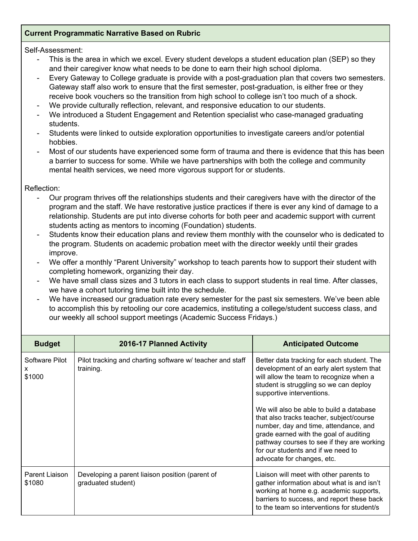## **Current Programmatic Narrative Based on Rubric**

#### Self-Assessment:

- This is the area in which we excel. Every student develops a student education plan (SEP) so they and their caregiver know what needs to be done to earn their high school diploma.
- Every Gateway to College graduate is provide with a post-graduation plan that covers two semesters. Gateway staff also work to ensure that the first semester, post-graduation, is either free or they receive book vouchers so the transition from high school to college isn't too much of a shock.
- We provide culturally reflection, relevant, and responsive education to our students.
- We introduced a Student Engagement and Retention specialist who case-managed graduating students.
- Students were linked to outside exploration opportunities to investigate careers and/or potential hobbies.
- Most of our students have experienced some form of trauma and there is evidence that this has been a barrier to success for some. While we have partnerships with both the college and community mental health services, we need more vigorous support for or students.

#### Reflection:

- Our program thrives off the relationships students and their caregivers have with the director of the program and the staff. We have restorative justice practices if there is ever any kind of damage to a relationship. Students are put into diverse cohorts for both peer and academic support with current students acting as mentors to incoming (Foundation) students.
- Students know their education plans and review them monthly with the counselor who is dedicated to the program. Students on academic probation meet with the director weekly until their grades improve.
- We offer a monthly "Parent University" workshop to teach parents how to support their student with completing homework, organizing their day.
- We have small class sizes and 3 tutors in each class to support students in real time. After classes, we have a cohort tutoring time built into the schedule.
- We have increased our graduation rate every semester for the past six semesters. We've been able to accomplish this by retooling our core academics, instituting a college/student success class, and our weekly all school support meetings (Academic Success Fridays.)

| <b>Budget</b>                  | 2016-17 Planned Activity                                               | <b>Anticipated Outcome</b>                                                                                                                                                                                                                                                                                                                                                                                                                                                                             |
|--------------------------------|------------------------------------------------------------------------|--------------------------------------------------------------------------------------------------------------------------------------------------------------------------------------------------------------------------------------------------------------------------------------------------------------------------------------------------------------------------------------------------------------------------------------------------------------------------------------------------------|
| Software Pilot<br>X.<br>\$1000 | Pilot tracking and charting software w/ teacher and staff<br>training. | Better data tracking for each student. The<br>development of an early alert system that<br>will allow the team to recognize when a<br>student is struggling so we can deploy<br>supportive interventions.<br>We will also be able to build a database<br>that also tracks teacher, subject/course<br>number, day and time, attendance, and<br>grade earned with the goal of auditing<br>pathway courses to see if they are working<br>for our students and if we need to<br>advocate for changes, etc. |
| Parent Liaison<br>\$1080       | Developing a parent liaison position (parent of<br>graduated student)  | Liaison will meet with other parents to<br>gather information about what is and isn't<br>working at home e.g. academic supports,<br>barriers to success, and report these back<br>to the team so interventions for student/s                                                                                                                                                                                                                                                                           |